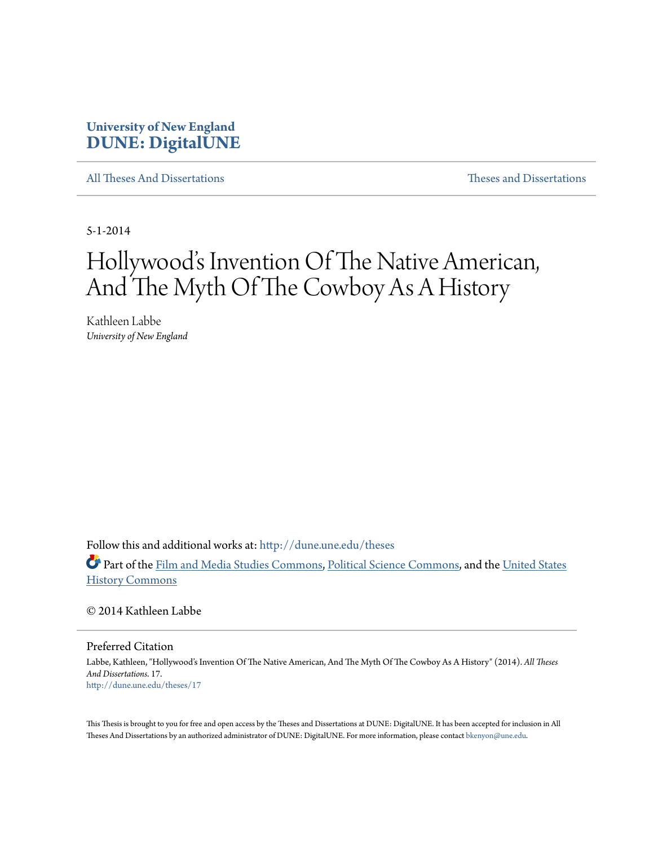### **University of New England [DUNE: DigitalUNE](http://dune.une.edu?utm_source=dune.une.edu%2Ftheses%2F17&utm_medium=PDF&utm_campaign=PDFCoverPages)**

[All Theses And Dissertations](http://dune.une.edu/theses?utm_source=dune.une.edu%2Ftheses%2F17&utm_medium=PDF&utm_campaign=PDFCoverPages) [Theses and Dissertations](http://dune.une.edu/theses_dissertations?utm_source=dune.une.edu%2Ftheses%2F17&utm_medium=PDF&utm_campaign=PDFCoverPages)

5-1-2014

# Hollywood's Invention Of The Native American, And The Myth Of The Cowboy As A History

Kathleen Labbe *University of New England*

Follow this and additional works at: [http://dune.une.edu/theses](http://dune.une.edu/theses?utm_source=dune.une.edu%2Ftheses%2F17&utm_medium=PDF&utm_campaign=PDFCoverPages)

Part of the [Film and Media Studies Commons](http://network.bepress.com/hgg/discipline/563?utm_source=dune.une.edu%2Ftheses%2F17&utm_medium=PDF&utm_campaign=PDFCoverPages), [Political Science Commons](http://network.bepress.com/hgg/discipline/386?utm_source=dune.une.edu%2Ftheses%2F17&utm_medium=PDF&utm_campaign=PDFCoverPages), and the [United States](http://network.bepress.com/hgg/discipline/495?utm_source=dune.une.edu%2Ftheses%2F17&utm_medium=PDF&utm_campaign=PDFCoverPages) [History Commons](http://network.bepress.com/hgg/discipline/495?utm_source=dune.une.edu%2Ftheses%2F17&utm_medium=PDF&utm_campaign=PDFCoverPages)

© 2014 Kathleen Labbe

Preferred Citation

Labbe, Kathleen, "Hollywood's Invention Of The Native American, And The Myth Of The Cowboy As A History" (2014). *All Theses And Dissertations*. 17. [http://dune.une.edu/theses/17](http://dune.une.edu/theses/17?utm_source=dune.une.edu%2Ftheses%2F17&utm_medium=PDF&utm_campaign=PDFCoverPages)

This Thesis is brought to you for free and open access by the Theses and Dissertations at DUNE: DigitalUNE. It has been accepted for inclusion in All Theses And Dissertations by an authorized administrator of DUNE: DigitalUNE. For more information, please contact [bkenyon@une.edu.](mailto:bkenyon@une.edu)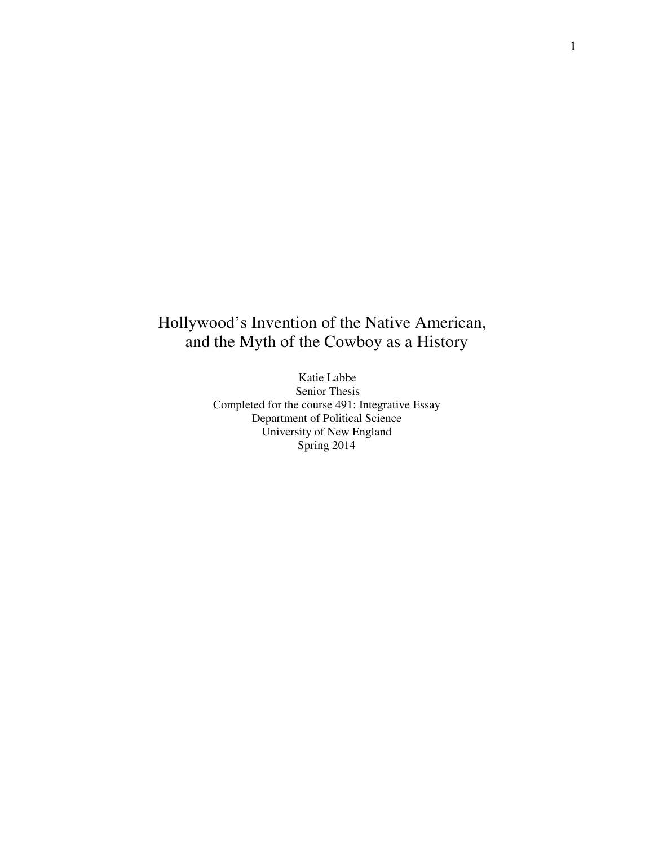## Hollywood's Invention of the Native American, and the Myth of the Cowboy as a History

 Katie Labbe Senior Thesis Completed for the course 491: Integrative Essay Department of Political Science University of New England Spring 2014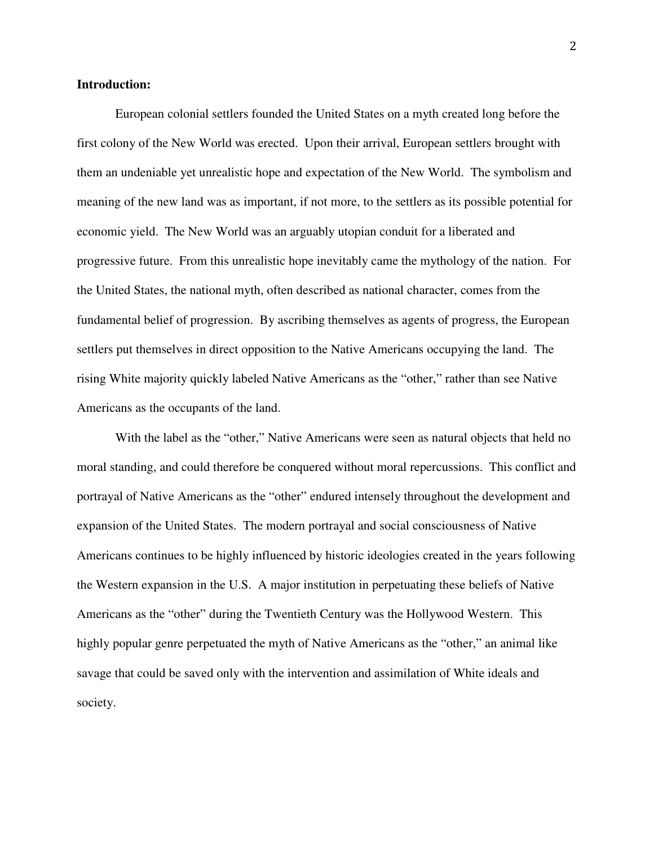#### **Introduction:**

 European colonial settlers founded the United States on a myth created long before the first colony of the New World was erected. Upon their arrival, European settlers brought with them an undeniable yet unrealistic hope and expectation of the New World. The symbolism and meaning of the new land was as important, if not more, to the settlers as its possible potential for economic yield. The New World was an arguably utopian conduit for a liberated and progressive future. From this unrealistic hope inevitably came the mythology of the nation. For the United States, the national myth, often described as national character, comes from the fundamental belief of progression. By ascribing themselves as agents of progress, the European settlers put themselves in direct opposition to the Native Americans occupying the land. The rising White majority quickly labeled Native Americans as the "other," rather than see Native Americans as the occupants of the land.

With the label as the "other," Native Americans were seen as natural objects that held no moral standing, and could therefore be conquered without moral repercussions. This conflict and portrayal of Native Americans as the "other" endured intensely throughout the development and expansion of the United States. The modern portrayal and social consciousness of Native Americans continues to be highly influenced by historic ideologies created in the years following the Western expansion in the U.S. A major institution in perpetuating these beliefs of Native Americans as the "other" during the Twentieth Century was the Hollywood Western. This highly popular genre perpetuated the myth of Native Americans as the "other," an animal like savage that could be saved only with the intervention and assimilation of White ideals and society.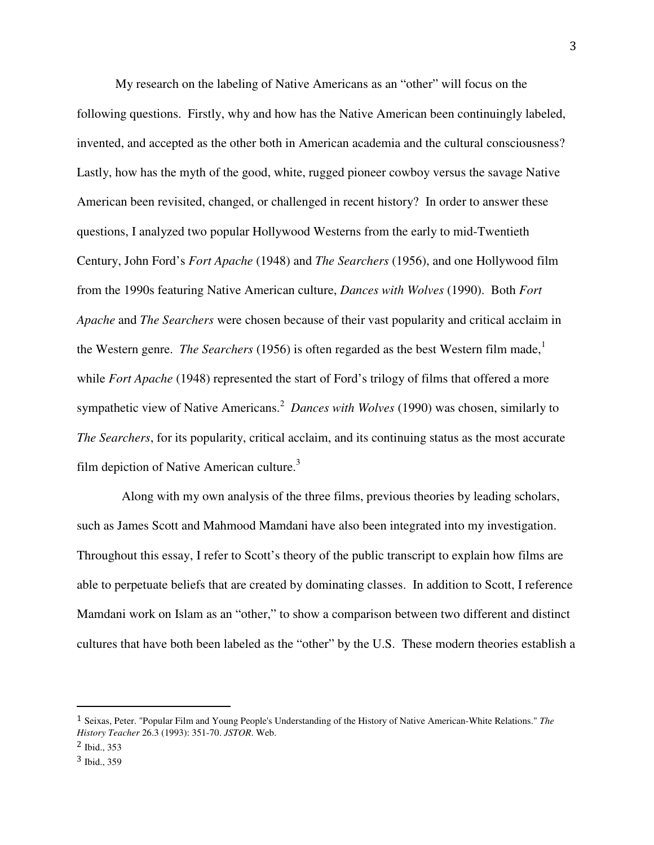My research on the labeling of Native Americans as an "other" will focus on the following questions. Firstly, why and how has the Native American been continuingly labeled, invented, and accepted as the other both in American academia and the cultural consciousness? Lastly, how has the myth of the good, white, rugged pioneer cowboy versus the savage Native American been revisited, changed, or challenged in recent history? In order to answer these questions, I analyzed two popular Hollywood Westerns from the early to mid-Twentieth Century, John Ford's *Fort Apache* (1948) and *The Searchers* (1956), and one Hollywood film from the 1990s featuring Native American culture, *Dances with Wolves* (1990). Both *Fort Apache* and *The Searchers* were chosen because of their vast popularity and critical acclaim in the Western genre. *The Searchers* (1956) is often regarded as the best Western film made,<sup>1</sup> while *Fort Apache* (1948) represented the start of Ford's trilogy of films that offered a more sympathetic view of Native Americans.<sup>2</sup> Dances with Wolves (1990) was chosen, similarly to *The Searchers*, for its popularity, critical acclaim, and its continuing status as the most accurate film depiction of Native American culture. $3$ 

 Along with my own analysis of the three films, previous theories by leading scholars, such as James Scott and Mahmood Mamdani have also been integrated into my investigation. Throughout this essay, I refer to Scott's theory of the public transcript to explain how films are able to perpetuate beliefs that are created by dominating classes. In addition to Scott, I reference Mamdani work on Islam as an "other," to show a comparison between two different and distinct cultures that have both been labeled as the "other" by the U.S. These modern theories establish a

<sup>1</sup> Seixas, Peter. "Popular Film and Young People's Understanding of the History of Native American-White Relations." *The History Teacher* 26.3 (1993): 351-70. *JSTOR*. Web.

<sup>2</sup> Ibid., 353

<sup>3</sup> Ibid., 359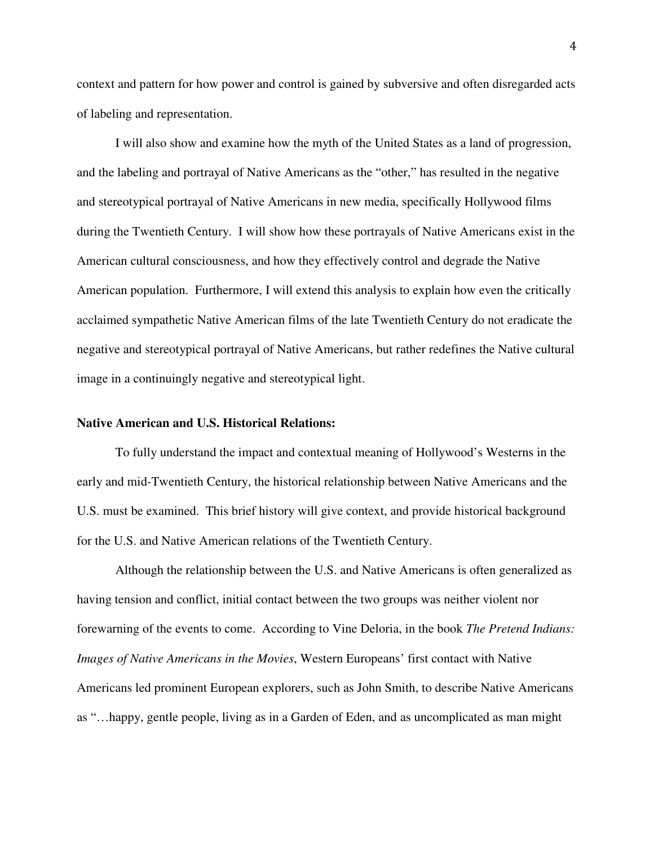context and pattern for how power and control is gained by subversive and often disregarded acts of labeling and representation.

I will also show and examine how the myth of the United States as a land of progression, and the labeling and portrayal of Native Americans as the "other," has resulted in the negative and stereotypical portrayal of Native Americans in new media, specifically Hollywood films during the Twentieth Century. I will show how these portrayals of Native Americans exist in the American cultural consciousness, and how they effectively control and degrade the Native American population. Furthermore, I will extend this analysis to explain how even the critically acclaimed sympathetic Native American films of the late Twentieth Century do not eradicate the negative and stereotypical portrayal of Native Americans, but rather redefines the Native cultural image in a continuingly negative and stereotypical light.

#### **Native American and U.S. Historical Relations:**

To fully understand the impact and contextual meaning of Hollywood's Westerns in the early and mid-Twentieth Century, the historical relationship between Native Americans and the U.S. must be examined. This brief history will give context, and provide historical background for the U.S. and Native American relations of the Twentieth Century.

Although the relationship between the U.S. and Native Americans is often generalized as having tension and conflict, initial contact between the two groups was neither violent nor forewarning of the events to come. According to Vine Deloria, in the book *The Pretend Indians: Images of Native Americans in the Movies*, Western Europeans' first contact with Native Americans led prominent European explorers, such as John Smith, to describe Native Americans as "…happy, gentle people, living as in a Garden of Eden, and as uncomplicated as man might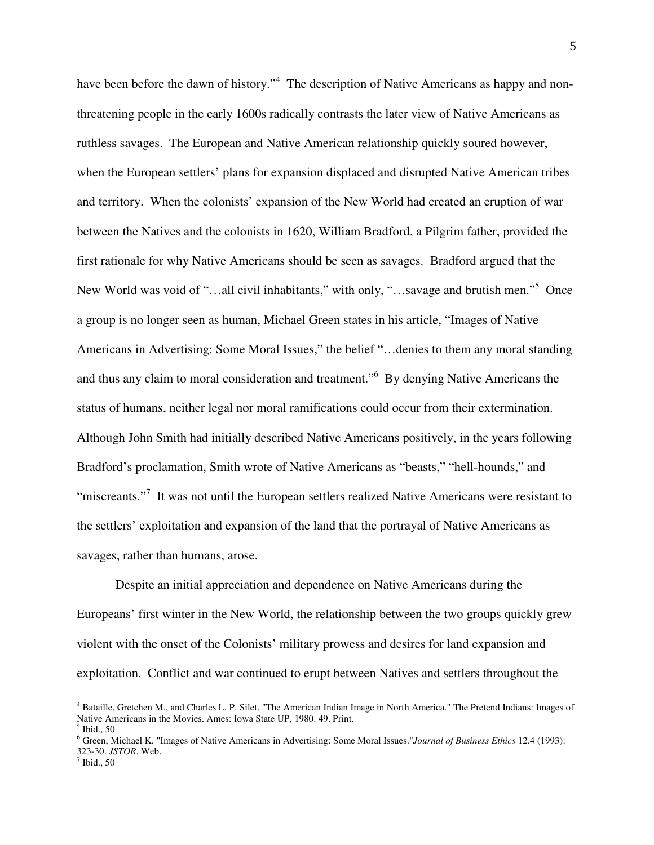have been before the dawn of history."<sup>4</sup> The description of Native Americans as happy and nonthreatening people in the early 1600s radically contrasts the later view of Native Americans as ruthless savages. The European and Native American relationship quickly soured however, when the European settlers' plans for expansion displaced and disrupted Native American tribes and territory. When the colonists' expansion of the New World had created an eruption of war between the Natives and the colonists in 1620, William Bradford, a Pilgrim father, provided the first rationale for why Native Americans should be seen as savages. Bradford argued that the New World was void of "...all civil inhabitants," with only, "...savage and brutish men."<sup>5</sup> Once a group is no longer seen as human, Michael Green states in his article, "Images of Native Americans in Advertising: Some Moral Issues," the belief "…denies to them any moral standing and thus any claim to moral consideration and treatment."<sup>6</sup> By denying Native Americans the status of humans, neither legal nor moral ramifications could occur from their extermination. Although John Smith had initially described Native Americans positively, in the years following Bradford's proclamation, Smith wrote of Native Americans as "beasts," "hell-hounds," and "miscreants."<sup>7</sup> It was not until the European settlers realized Native Americans were resistant to the settlers' exploitation and expansion of the land that the portrayal of Native Americans as savages, rather than humans, arose.

Despite an initial appreciation and dependence on Native Americans during the Europeans' first winter in the New World, the relationship between the two groups quickly grew violent with the onset of the Colonists' military prowess and desires for land expansion and exploitation. Conflict and war continued to erupt between Natives and settlers throughout the

<sup>&</sup>lt;sup>4</sup> Bataille, Gretchen M., and Charles L. P. Silet. "The American Indian Image in North America." The Pretend Indians: Images of Native Americans in the Movies. Ames: Iowa State UP, 1980. 49. Print.

<sup>5</sup> Ibid., 50

<sup>6</sup> Green, Michael K. "Images of Native Americans in Advertising: Some Moral Issues."*Journal of Business Ethics* 12.4 (1993): 323-30. *JSTOR*. Web.

 $<sup>7</sup>$  Ibid., 50</sup>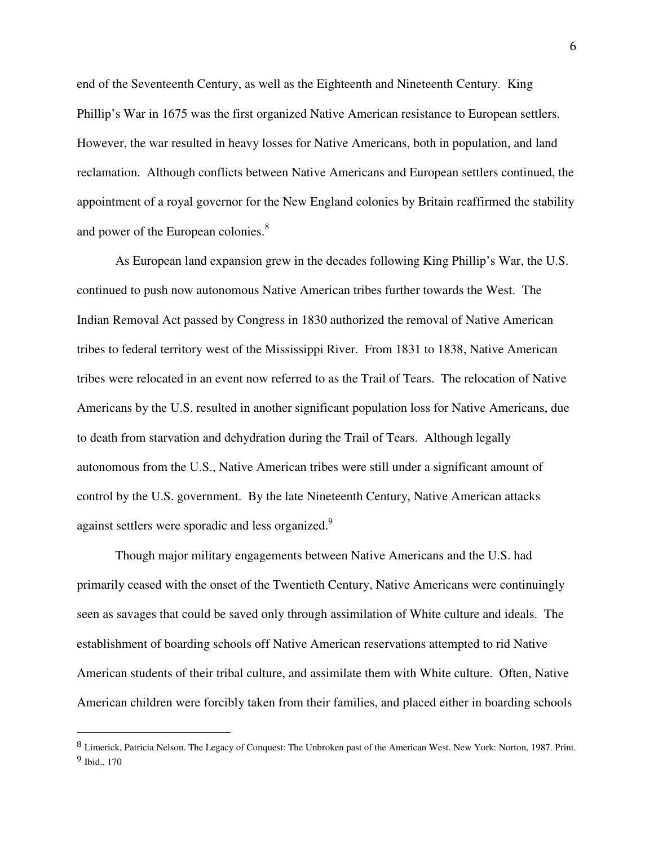end of the Seventeenth Century, as well as the Eighteenth and Nineteenth Century. King Phillip's War in 1675 was the first organized Native American resistance to European settlers. However, the war resulted in heavy losses for Native Americans, both in population, and land reclamation. Although conflicts between Native Americans and European settlers continued, the appointment of a royal governor for the New England colonies by Britain reaffirmed the stability and power of the European colonies.<sup>8</sup>

As European land expansion grew in the decades following King Phillip's War, the U.S. continued to push now autonomous Native American tribes further towards the West. The Indian Removal Act passed by Congress in 1830 authorized the removal of Native American tribes to federal territory west of the Mississippi River. From 1831 to 1838, Native American tribes were relocated in an event now referred to as the Trail of Tears. The relocation of Native Americans by the U.S. resulted in another significant population loss for Native Americans, due to death from starvation and dehydration during the Trail of Tears. Although legally autonomous from the U.S., Native American tribes were still under a significant amount of control by the U.S. government. By the late Nineteenth Century, Native American attacks against settlers were sporadic and less organized.<sup>9</sup>

Though major military engagements between Native Americans and the U.S. had primarily ceased with the onset of the Twentieth Century, Native Americans were continuingly seen as savages that could be saved only through assimilation of White culture and ideals. The establishment of boarding schools off Native American reservations attempted to rid Native American students of their tribal culture, and assimilate them with White culture. Often, Native American children were forcibly taken from their families, and placed either in boarding schools

<sup>8</sup> Limerick, Patricia Nelson. The Legacy of Conquest: The Unbroken past of the American West. New York: Norton, 1987. Print. 9 Ibid., 170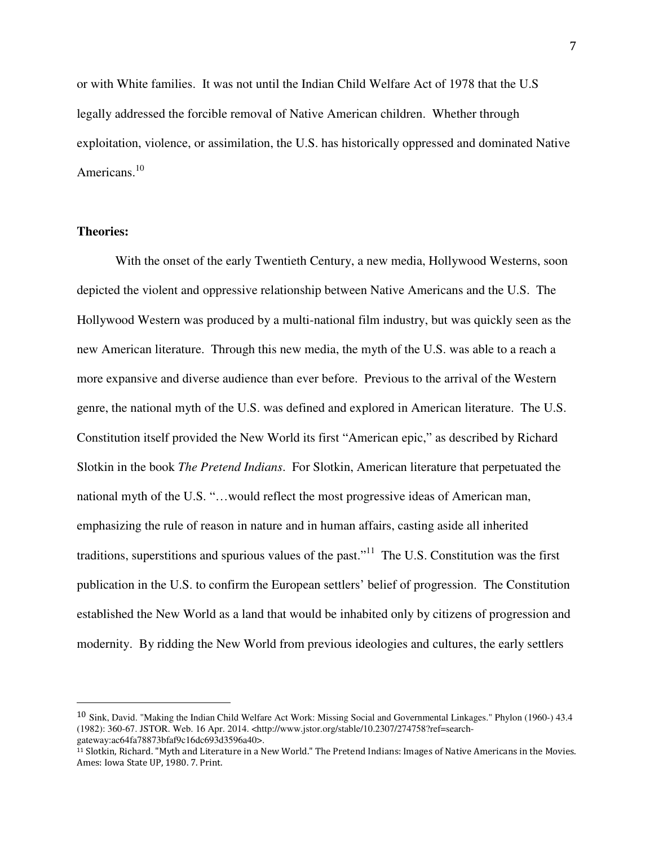or with White families. It was not until the Indian Child Welfare Act of 1978 that the U.S legally addressed the forcible removal of Native American children. Whether through exploitation, violence, or assimilation, the U.S. has historically oppressed and dominated Native Americans.<sup>10</sup>

#### **Theories:**

<u>.</u>

 With the onset of the early Twentieth Century, a new media, Hollywood Westerns, soon depicted the violent and oppressive relationship between Native Americans and the U.S. The Hollywood Western was produced by a multi-national film industry, but was quickly seen as the new American literature. Through this new media, the myth of the U.S. was able to a reach a more expansive and diverse audience than ever before. Previous to the arrival of the Western genre, the national myth of the U.S. was defined and explored in American literature. The U.S. Constitution itself provided the New World its first "American epic," as described by Richard Slotkin in the book *The Pretend Indians*. For Slotkin, American literature that perpetuated the national myth of the U.S. "…would reflect the most progressive ideas of American man, emphasizing the rule of reason in nature and in human affairs, casting aside all inherited traditions, superstitions and spurious values of the past."<sup>11</sup> The U.S. Constitution was the first publication in the U.S. to confirm the European settlers' belief of progression. The Constitution established the New World as a land that would be inhabited only by citizens of progression and modernity. By ridding the New World from previous ideologies and cultures, the early settlers

<sup>10</sup> Sink, David. "Making the Indian Child Welfare Act Work: Missing Social and Governmental Linkages." Phylon (1960-) 43.4 (1982): 360-67. JSTOR. Web. 16 Apr. 2014. <http://www.jstor.org/stable/10.2307/274758?ref=searchgateway:ac64fa78873bfaf9c16dc693d3596a40>.

<sup>11</sup> Slotkin, Richard. "Myth and Literature in a New World." The Pretend Indians: Images of Native Americans in the Movies. Ames: Iowa State UP, 1980. 7. Print.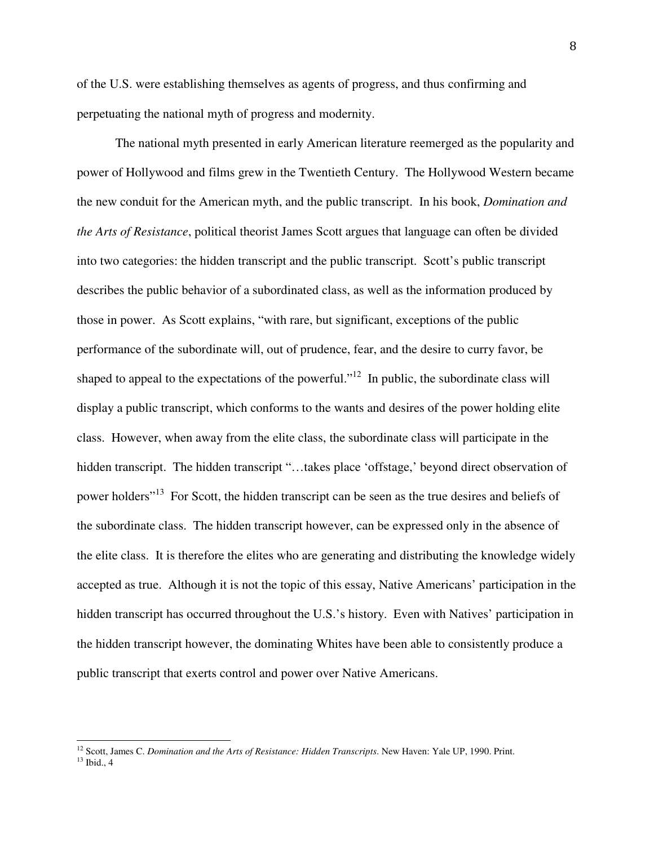of the U.S. were establishing themselves as agents of progress, and thus confirming and perpetuating the national myth of progress and modernity.

 The national myth presented in early American literature reemerged as the popularity and power of Hollywood and films grew in the Twentieth Century. The Hollywood Western became the new conduit for the American myth, and the public transcript. In his book, *Domination and the Arts of Resistance*, political theorist James Scott argues that language can often be divided into two categories: the hidden transcript and the public transcript. Scott's public transcript describes the public behavior of a subordinated class, as well as the information produced by those in power. As Scott explains, "with rare, but significant, exceptions of the public performance of the subordinate will, out of prudence, fear, and the desire to curry favor, be shaped to appeal to the expectations of the powerful."<sup>12</sup> In public, the subordinate class will display a public transcript, which conforms to the wants and desires of the power holding elite class. However, when away from the elite class, the subordinate class will participate in the hidden transcript. The hidden transcript "...takes place 'offstage,' beyond direct observation of power holders<sup>"13</sup> For Scott, the hidden transcript can be seen as the true desires and beliefs of the subordinate class. The hidden transcript however, can be expressed only in the absence of the elite class. It is therefore the elites who are generating and distributing the knowledge widely accepted as true. Although it is not the topic of this essay, Native Americans' participation in the hidden transcript has occurred throughout the U.S.'s history. Even with Natives' participation in the hidden transcript however, the dominating Whites have been able to consistently produce a public transcript that exerts control and power over Native Americans.

<sup>&</sup>lt;sup>12</sup> Scott, James C. *Domination and the Arts of Resistance: Hidden Transcripts*. New Haven: Yale UP, 1990. Print. <sup>13</sup> Ibid., 4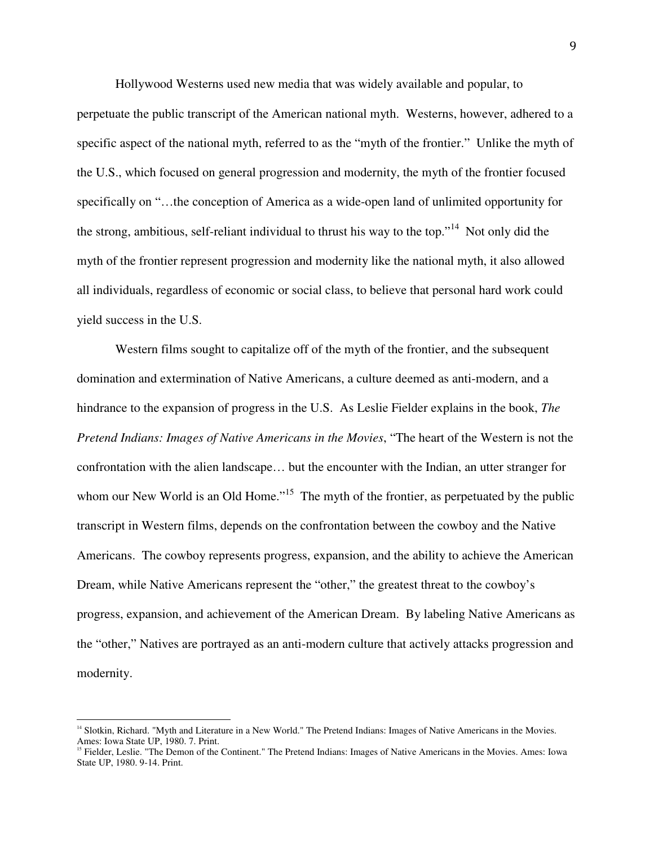Hollywood Westerns used new media that was widely available and popular, to

perpetuate the public transcript of the American national myth. Westerns, however, adhered to a specific aspect of the national myth, referred to as the "myth of the frontier." Unlike the myth of the U.S., which focused on general progression and modernity, the myth of the frontier focused specifically on "…the conception of America as a wide-open land of unlimited opportunity for the strong, ambitious, self-reliant individual to thrust his way to the top."<sup>14</sup> Not only did the myth of the frontier represent progression and modernity like the national myth, it also allowed all individuals, regardless of economic or social class, to believe that personal hard work could yield success in the U.S.

Western films sought to capitalize off of the myth of the frontier, and the subsequent domination and extermination of Native Americans, a culture deemed as anti-modern, and a hindrance to the expansion of progress in the U.S. As Leslie Fielder explains in the book, *The Pretend Indians: Images of Native Americans in the Movies*, "The heart of the Western is not the confrontation with the alien landscape… but the encounter with the Indian, an utter stranger for whom our New World is an Old Home."<sup>15</sup> The myth of the frontier, as perpetuated by the public transcript in Western films, depends on the confrontation between the cowboy and the Native Americans. The cowboy represents progress, expansion, and the ability to achieve the American Dream, while Native Americans represent the "other," the greatest threat to the cowboy's progress, expansion, and achievement of the American Dream. By labeling Native Americans as the "other," Natives are portrayed as an anti-modern culture that actively attacks progression and modernity.

<sup>&</sup>lt;sup>14</sup> Slotkin, Richard. "Myth and Literature in a New World." The Pretend Indians: Images of Native Americans in the Movies. Ames: Iowa State UP, 1980. 7. Print.

<sup>&</sup>lt;sup>15</sup> Fielder, Leslie. "The Demon of the Continent." The Pretend Indians: Images of Native Americans in the Movies. Ames: Iowa State UP, 1980. 9-14. Print.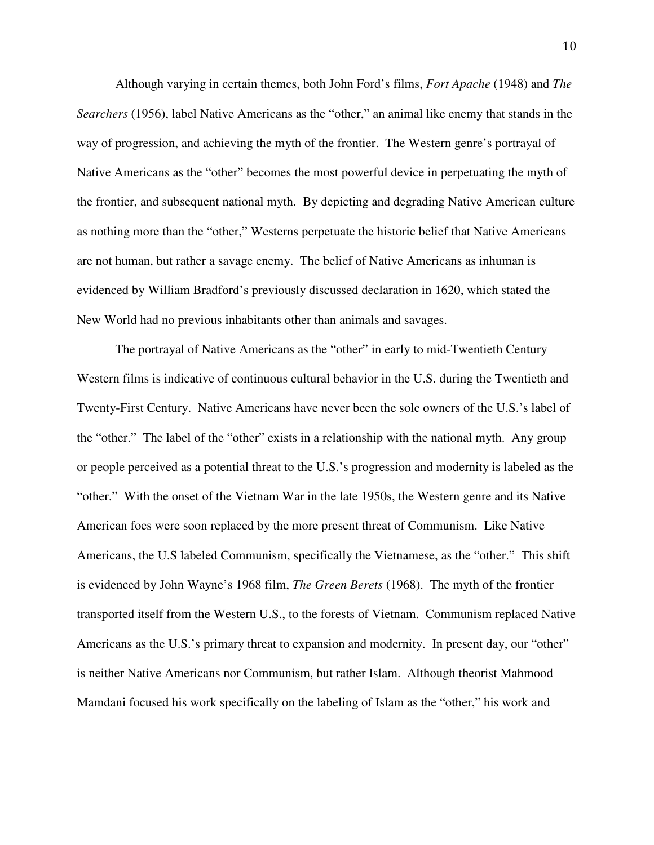Although varying in certain themes, both John Ford's films, *Fort Apache* (1948) and *The Searchers* (1956), label Native Americans as the "other," an animal like enemy that stands in the way of progression, and achieving the myth of the frontier. The Western genre's portrayal of Native Americans as the "other" becomes the most powerful device in perpetuating the myth of the frontier, and subsequent national myth. By depicting and degrading Native American culture as nothing more than the "other," Westerns perpetuate the historic belief that Native Americans are not human, but rather a savage enemy. The belief of Native Americans as inhuman is evidenced by William Bradford's previously discussed declaration in 1620, which stated the New World had no previous inhabitants other than animals and savages.

 The portrayal of Native Americans as the "other" in early to mid-Twentieth Century Western films is indicative of continuous cultural behavior in the U.S. during the Twentieth and Twenty-First Century. Native Americans have never been the sole owners of the U.S.'s label of the "other." The label of the "other" exists in a relationship with the national myth. Any group or people perceived as a potential threat to the U.S.'s progression and modernity is labeled as the "other." With the onset of the Vietnam War in the late 1950s, the Western genre and its Native American foes were soon replaced by the more present threat of Communism. Like Native Americans, the U.S labeled Communism, specifically the Vietnamese, as the "other." This shift is evidenced by John Wayne's 1968 film, *The Green Berets* (1968). The myth of the frontier transported itself from the Western U.S., to the forests of Vietnam. Communism replaced Native Americans as the U.S.'s primary threat to expansion and modernity. In present day, our "other" is neither Native Americans nor Communism, but rather Islam. Although theorist Mahmood Mamdani focused his work specifically on the labeling of Islam as the "other," his work and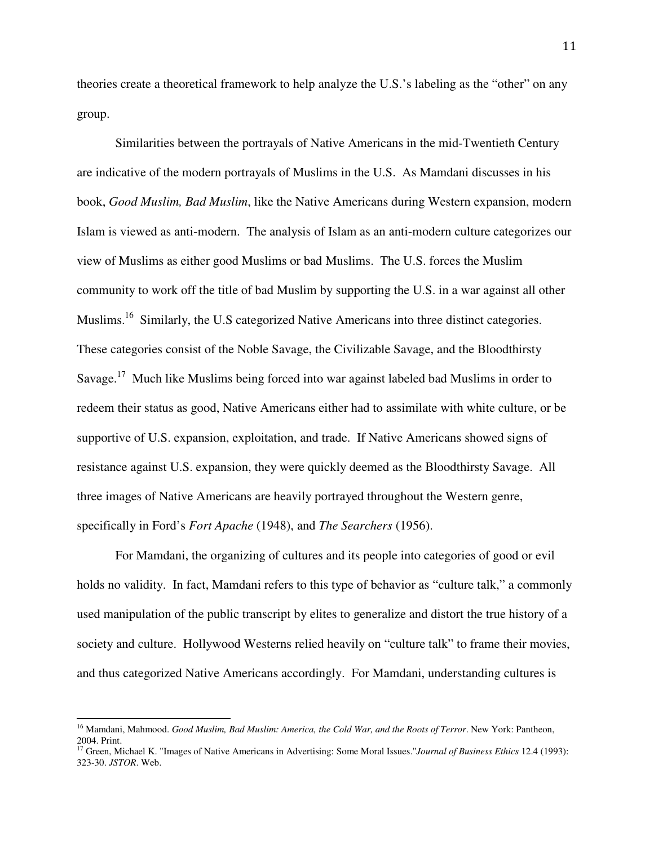theories create a theoretical framework to help analyze the U.S.'s labeling as the "other" on any group.

 Similarities between the portrayals of Native Americans in the mid-Twentieth Century are indicative of the modern portrayals of Muslims in the U.S. As Mamdani discusses in his book, *Good Muslim, Bad Muslim*, like the Native Americans during Western expansion, modern Islam is viewed as anti-modern. The analysis of Islam as an anti-modern culture categorizes our view of Muslims as either good Muslims or bad Muslims. The U.S. forces the Muslim community to work off the title of bad Muslim by supporting the U.S. in a war against all other Muslims.<sup>16</sup> Similarly, the U.S categorized Native Americans into three distinct categories. These categories consist of the Noble Savage, the Civilizable Savage, and the Bloodthirsty Savage.<sup>17</sup> Much like Muslims being forced into war against labeled bad Muslims in order to redeem their status as good, Native Americans either had to assimilate with white culture, or be supportive of U.S. expansion, exploitation, and trade. If Native Americans showed signs of resistance against U.S. expansion, they were quickly deemed as the Bloodthirsty Savage. All three images of Native Americans are heavily portrayed throughout the Western genre, specifically in Ford's *Fort Apache* (1948), and *The Searchers* (1956).

 For Mamdani, the organizing of cultures and its people into categories of good or evil holds no validity. In fact, Mamdani refers to this type of behavior as "culture talk," a commonly used manipulation of the public transcript by elites to generalize and distort the true history of a society and culture. Hollywood Westerns relied heavily on "culture talk" to frame their movies, and thus categorized Native Americans accordingly. For Mamdani, understanding cultures is

<sup>16</sup> Mamdani, Mahmood. *Good Muslim, Bad Muslim: America, the Cold War, and the Roots of Terror*. New York: Pantheon, 2004. Print.

<sup>17</sup> Green, Michael K. "Images of Native Americans in Advertising: Some Moral Issues."*Journal of Business Ethics* 12.4 (1993): 323-30. *JSTOR*. Web.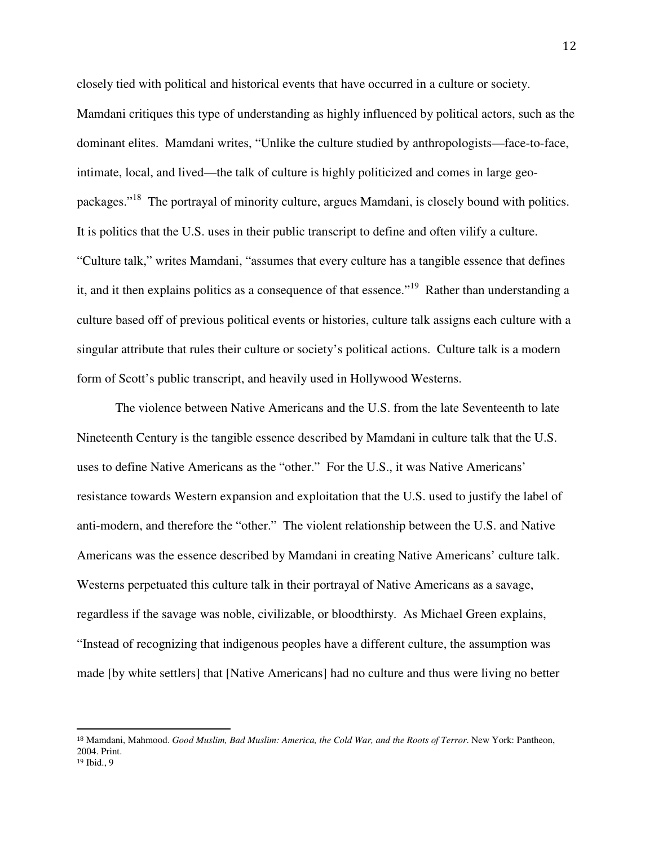closely tied with political and historical events that have occurred in a culture or society. Mamdani critiques this type of understanding as highly influenced by political actors, such as the dominant elites. Mamdani writes, "Unlike the culture studied by anthropologists—face-to-face, intimate, local, and lived—the talk of culture is highly politicized and comes in large geopackages."<sup>18</sup> The portrayal of minority culture, argues Mamdani, is closely bound with politics. It is politics that the U.S. uses in their public transcript to define and often vilify a culture. "Culture talk," writes Mamdani, "assumes that every culture has a tangible essence that defines it, and it then explains politics as a consequence of that essence."<sup>19</sup> Rather than understanding a culture based off of previous political events or histories, culture talk assigns each culture with a singular attribute that rules their culture or society's political actions. Culture talk is a modern form of Scott's public transcript, and heavily used in Hollywood Westerns.

 The violence between Native Americans and the U.S. from the late Seventeenth to late Nineteenth Century is the tangible essence described by Mamdani in culture talk that the U.S. uses to define Native Americans as the "other." For the U.S., it was Native Americans' resistance towards Western expansion and exploitation that the U.S. used to justify the label of anti-modern, and therefore the "other." The violent relationship between the U.S. and Native Americans was the essence described by Mamdani in creating Native Americans' culture talk. Westerns perpetuated this culture talk in their portrayal of Native Americans as a savage, regardless if the savage was noble, civilizable, or bloodthirsty. As Michael Green explains, "Instead of recognizing that indigenous peoples have a different culture, the assumption was made [by white settlers] that [Native Americans] had no culture and thus were living no better

<sup>18</sup> Mamdani, Mahmood. *Good Muslim, Bad Muslim: America, the Cold War, and the Roots of Terror*. New York: Pantheon, 2004. Print.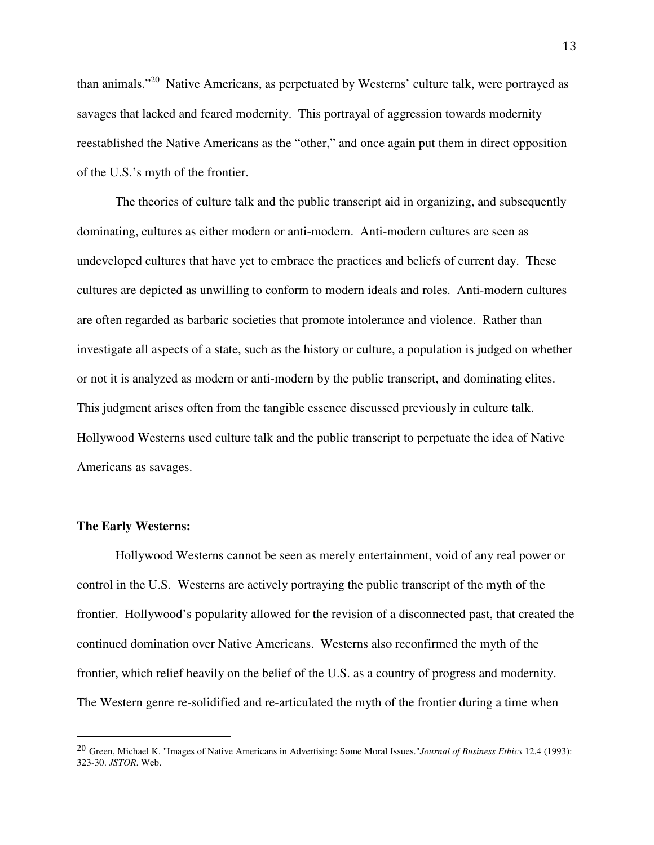than animals."<sup>20</sup> Native Americans, as perpetuated by Westerns' culture talk, were portrayed as savages that lacked and feared modernity. This portrayal of aggression towards modernity reestablished the Native Americans as the "other," and once again put them in direct opposition of the U.S.'s myth of the frontier.

 The theories of culture talk and the public transcript aid in organizing, and subsequently dominating, cultures as either modern or anti-modern. Anti-modern cultures are seen as undeveloped cultures that have yet to embrace the practices and beliefs of current day. These cultures are depicted as unwilling to conform to modern ideals and roles. Anti-modern cultures are often regarded as barbaric societies that promote intolerance and violence. Rather than investigate all aspects of a state, such as the history or culture, a population is judged on whether or not it is analyzed as modern or anti-modern by the public transcript, and dominating elites. This judgment arises often from the tangible essence discussed previously in culture talk. Hollywood Westerns used culture talk and the public transcript to perpetuate the idea of Native Americans as savages.

#### **The Early Westerns:**

 $\overline{a}$ 

Hollywood Westerns cannot be seen as merely entertainment, void of any real power or control in the U.S. Westerns are actively portraying the public transcript of the myth of the frontier. Hollywood's popularity allowed for the revision of a disconnected past, that created the continued domination over Native Americans. Westerns also reconfirmed the myth of the frontier, which relief heavily on the belief of the U.S. as a country of progress and modernity. The Western genre re-solidified and re-articulated the myth of the frontier during a time when

<sup>20</sup> Green, Michael K. "Images of Native Americans in Advertising: Some Moral Issues."*Journal of Business Ethics* 12.4 (1993): 323-30. *JSTOR*. Web.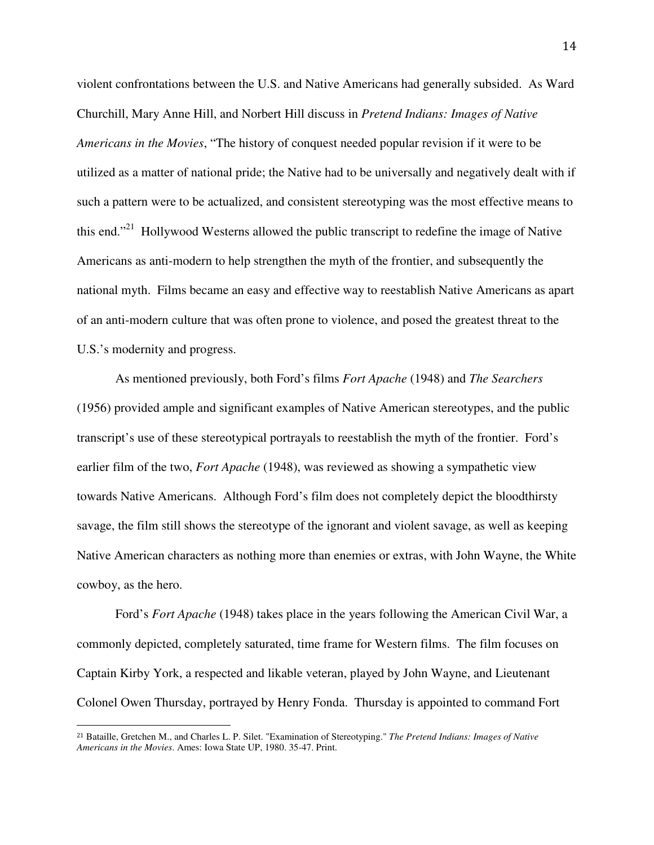violent confrontations between the U.S. and Native Americans had generally subsided. As Ward Churchill, Mary Anne Hill, and Norbert Hill discuss in *Pretend Indians: Images of Native Americans in the Movies*, "The history of conquest needed popular revision if it were to be utilized as a matter of national pride; the Native had to be universally and negatively dealt with if such a pattern were to be actualized, and consistent stereotyping was the most effective means to this end."<sup>21</sup> Hollywood Westerns allowed the public transcript to redefine the image of Native Americans as anti-modern to help strengthen the myth of the frontier, and subsequently the national myth. Films became an easy and effective way to reestablish Native Americans as apart of an anti-modern culture that was often prone to violence, and posed the greatest threat to the U.S.'s modernity and progress.

 As mentioned previously, both Ford's films *Fort Apache* (1948) and *The Searchers* (1956) provided ample and significant examples of Native American stereotypes, and the public transcript's use of these stereotypical portrayals to reestablish the myth of the frontier. Ford's earlier film of the two, *Fort Apache* (1948), was reviewed as showing a sympathetic view towards Native Americans. Although Ford's film does not completely depict the bloodthirsty savage, the film still shows the stereotype of the ignorant and violent savage, as well as keeping Native American characters as nothing more than enemies or extras, with John Wayne, the White cowboy, as the hero.

 Ford's *Fort Apache* (1948) takes place in the years following the American Civil War, a commonly depicted, completely saturated, time frame for Western films. The film focuses on Captain Kirby York, a respected and likable veteran, played by John Wayne, and Lieutenant Colonel Owen Thursday, portrayed by Henry Fonda. Thursday is appointed to command Fort

-

<sup>21</sup> Bataille, Gretchen M., and Charles L. P. Silet. "Examination of Stereotyping." *The Pretend Indians: Images of Native Americans in the Movies*. Ames: Iowa State UP, 1980. 35-47. Print.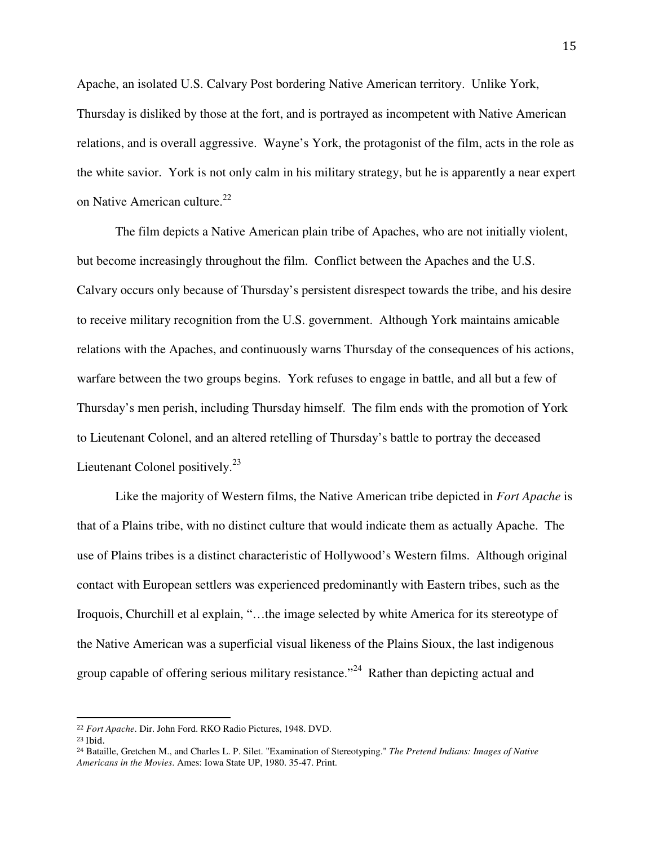Apache, an isolated U.S. Calvary Post bordering Native American territory. Unlike York, Thursday is disliked by those at the fort, and is portrayed as incompetent with Native American relations, and is overall aggressive. Wayne's York, the protagonist of the film, acts in the role as the white savior. York is not only calm in his military strategy, but he is apparently a near expert on Native American culture.<sup>22</sup>

 The film depicts a Native American plain tribe of Apaches, who are not initially violent, but become increasingly throughout the film. Conflict between the Apaches and the U.S. Calvary occurs only because of Thursday's persistent disrespect towards the tribe, and his desire to receive military recognition from the U.S. government. Although York maintains amicable relations with the Apaches, and continuously warns Thursday of the consequences of his actions, warfare between the two groups begins. York refuses to engage in battle, and all but a few of Thursday's men perish, including Thursday himself. The film ends with the promotion of York to Lieutenant Colonel, and an altered retelling of Thursday's battle to portray the deceased Lieutenant Colonel positively.<sup>23</sup>

Like the majority of Western films, the Native American tribe depicted in *Fort Apache* is that of a Plains tribe, with no distinct culture that would indicate them as actually Apache. The use of Plains tribes is a distinct characteristic of Hollywood's Western films. Although original contact with European settlers was experienced predominantly with Eastern tribes, such as the Iroquois, Churchill et al explain, "…the image selected by white America for its stereotype of the Native American was a superficial visual likeness of the Plains Sioux, the last indigenous group capable of offering serious military resistance."<sup>24</sup> Rather than depicting actual and

<sup>22</sup> *Fort Apache*. Dir. John Ford. RKO Radio Pictures, 1948. DVD.

<sup>23</sup> Ibid.

<sup>24</sup> Bataille, Gretchen M., and Charles L. P. Silet. "Examination of Stereotyping." *The Pretend Indians: Images of Native Americans in the Movies*. Ames: Iowa State UP, 1980. 35-47. Print.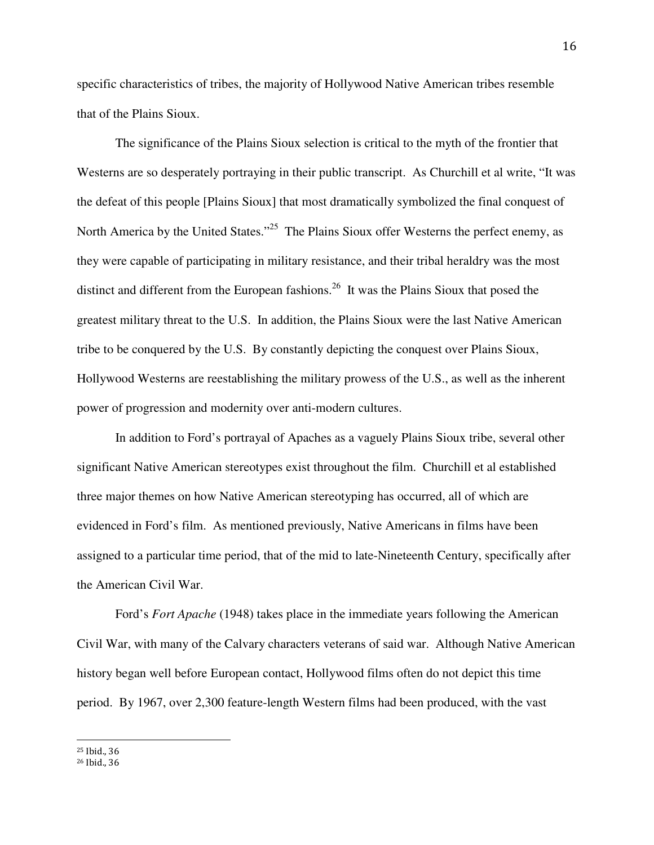specific characteristics of tribes, the majority of Hollywood Native American tribes resemble that of the Plains Sioux.

The significance of the Plains Sioux selection is critical to the myth of the frontier that Westerns are so desperately portraying in their public transcript. As Churchill et al write, "It was the defeat of this people [Plains Sioux] that most dramatically symbolized the final conquest of North America by the United States."<sup>25</sup> The Plains Sioux offer Westerns the perfect enemy, as they were capable of participating in military resistance, and their tribal heraldry was the most distinct and different from the European fashions.<sup>26</sup> It was the Plains Sioux that posed the greatest military threat to the U.S. In addition, the Plains Sioux were the last Native American tribe to be conquered by the U.S. By constantly depicting the conquest over Plains Sioux, Hollywood Westerns are reestablishing the military prowess of the U.S., as well as the inherent power of progression and modernity over anti-modern cultures.

In addition to Ford's portrayal of Apaches as a vaguely Plains Sioux tribe, several other significant Native American stereotypes exist throughout the film. Churchill et al established three major themes on how Native American stereotyping has occurred, all of which are evidenced in Ford's film. As mentioned previously, Native Americans in films have been assigned to a particular time period, that of the mid to late-Nineteenth Century, specifically after the American Civil War.

Ford's *Fort Apache* (1948) takes place in the immediate years following the American Civil War, with many of the Calvary characters veterans of said war. Although Native American history began well before European contact, Hollywood films often do not depict this time period. By 1967, over 2,300 feature-length Western films had been produced, with the vast

 $\overline{a}$ <sup>25</sup> Ibid., 36

<sup>26</sup> Ibid., 36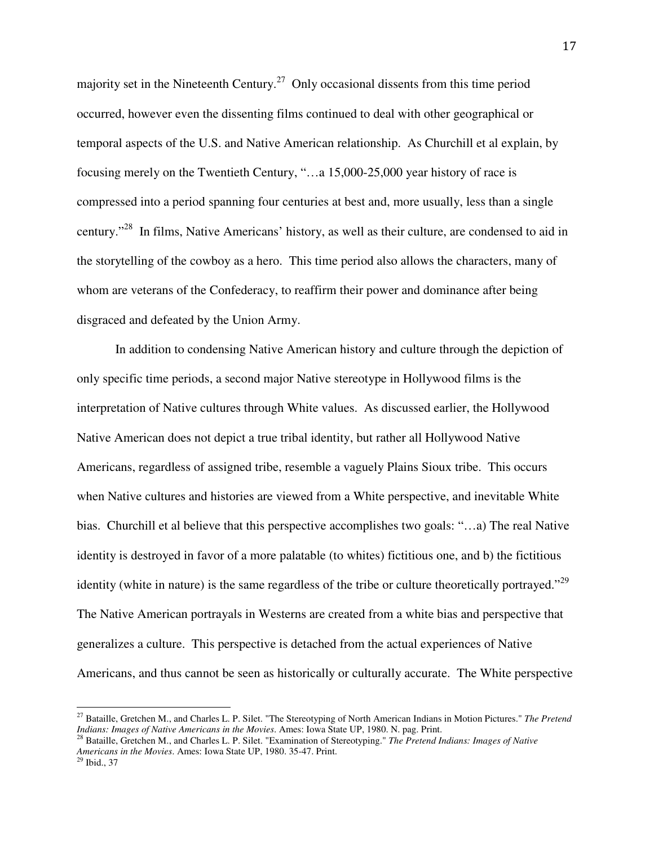majority set in the Nineteenth Century.<sup>27</sup> Only occasional dissents from this time period occurred, however even the dissenting films continued to deal with other geographical or temporal aspects of the U.S. and Native American relationship. As Churchill et al explain, by focusing merely on the Twentieth Century, "…a 15,000-25,000 year history of race is compressed into a period spanning four centuries at best and, more usually, less than a single century."<sup>28</sup> In films, Native Americans' history, as well as their culture, are condensed to aid in the storytelling of the cowboy as a hero. This time period also allows the characters, many of whom are veterans of the Confederacy, to reaffirm their power and dominance after being disgraced and defeated by the Union Army.

In addition to condensing Native American history and culture through the depiction of only specific time periods, a second major Native stereotype in Hollywood films is the interpretation of Native cultures through White values. As discussed earlier, the Hollywood Native American does not depict a true tribal identity, but rather all Hollywood Native Americans, regardless of assigned tribe, resemble a vaguely Plains Sioux tribe. This occurs when Native cultures and histories are viewed from a White perspective, and inevitable White bias. Churchill et al believe that this perspective accomplishes two goals: "…a) The real Native identity is destroyed in favor of a more palatable (to whites) fictitious one, and b) the fictitious identity (white in nature) is the same regardless of the tribe or culture theoretically portrayed."<sup>29</sup> The Native American portrayals in Westerns are created from a white bias and perspective that generalizes a culture. This perspective is detached from the actual experiences of Native Americans, and thus cannot be seen as historically or culturally accurate. The White perspective

<u>.</u>

<sup>27</sup> Bataille, Gretchen M., and Charles L. P. Silet. "The Stereotyping of North American Indians in Motion Pictures." *The Pretend Indians: Images of Native Americans in the Movies*. Ames: Iowa State UP, 1980. N. pag. Print.

<sup>28</sup> Bataille, Gretchen M., and Charles L. P. Silet. "Examination of Stereotyping." *The Pretend Indians: Images of Native Americans in the Movies*. Ames: Iowa State UP, 1980. 35-47. Print.

<sup>29</sup> Ibid., 37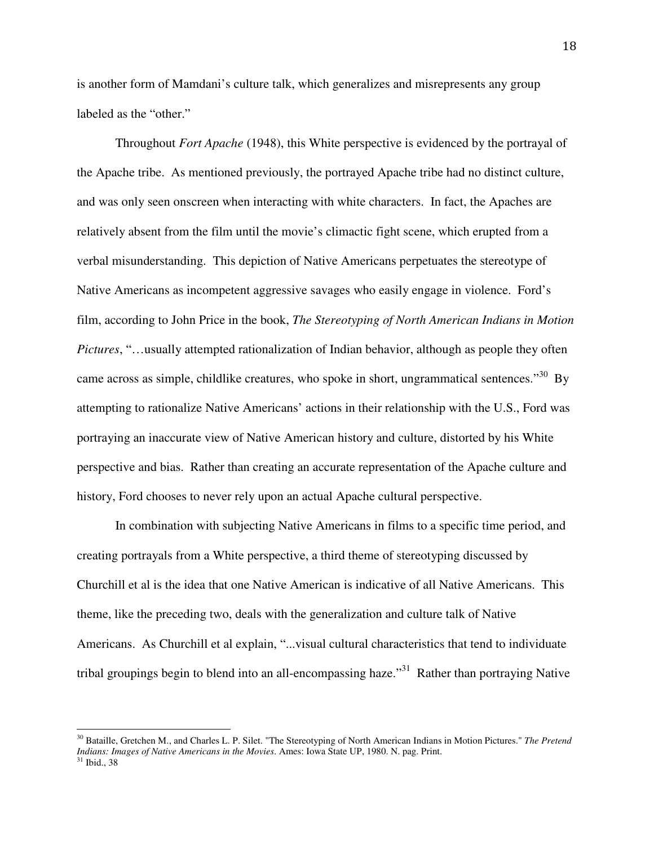is another form of Mamdani's culture talk, which generalizes and misrepresents any group labeled as the "other."

Throughout *Fort Apache* (1948), this White perspective is evidenced by the portrayal of the Apache tribe. As mentioned previously, the portrayed Apache tribe had no distinct culture, and was only seen onscreen when interacting with white characters. In fact, the Apaches are relatively absent from the film until the movie's climactic fight scene, which erupted from a verbal misunderstanding. This depiction of Native Americans perpetuates the stereotype of Native Americans as incompetent aggressive savages who easily engage in violence. Ford's film, according to John Price in the book, *The Stereotyping of North American Indians in Motion Pictures*, "…usually attempted rationalization of Indian behavior, although as people they often came across as simple, childlike creatures, who spoke in short, ungrammatical sentences.<sup>30</sup> By attempting to rationalize Native Americans' actions in their relationship with the U.S., Ford was portraying an inaccurate view of Native American history and culture, distorted by his White perspective and bias. Rather than creating an accurate representation of the Apache culture and history, Ford chooses to never rely upon an actual Apache cultural perspective.

In combination with subjecting Native Americans in films to a specific time period, and creating portrayals from a White perspective, a third theme of stereotyping discussed by Churchill et al is the idea that one Native American is indicative of all Native Americans. This theme, like the preceding two, deals with the generalization and culture talk of Native Americans. As Churchill et al explain, "...visual cultural characteristics that tend to individuate tribal groupings begin to blend into an all-encompassing haze.<sup>31</sup> Rather than portraying Native

<sup>30</sup> Bataille, Gretchen M., and Charles L. P. Silet. "The Stereotyping of North American Indians in Motion Pictures." *The Pretend Indians: Images of Native Americans in the Movies*. Ames: Iowa State UP, 1980. N. pag. Print.

<sup>31</sup> Ibid., 38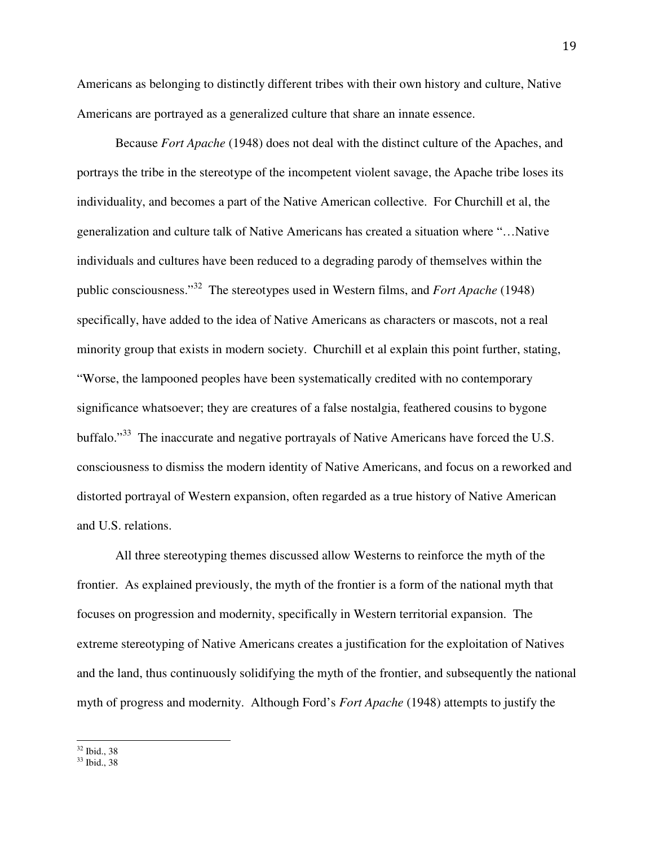Americans as belonging to distinctly different tribes with their own history and culture, Native Americans are portrayed as a generalized culture that share an innate essence.

Because *Fort Apache* (1948) does not deal with the distinct culture of the Apaches, and portrays the tribe in the stereotype of the incompetent violent savage, the Apache tribe loses its individuality, and becomes a part of the Native American collective. For Churchill et al, the generalization and culture talk of Native Americans has created a situation where "…Native individuals and cultures have been reduced to a degrading parody of themselves within the public consciousness."<sup>32</sup> The stereotypes used in Western films, and *Fort Apache* (1948) specifically, have added to the idea of Native Americans as characters or mascots, not a real minority group that exists in modern society. Churchill et al explain this point further, stating, "Worse, the lampooned peoples have been systematically credited with no contemporary significance whatsoever; they are creatures of a false nostalgia, feathered cousins to bygone buffalo."<sup>33</sup> The inaccurate and negative portrayals of Native Americans have forced the U.S. consciousness to dismiss the modern identity of Native Americans, and focus on a reworked and distorted portrayal of Western expansion, often regarded as a true history of Native American and U.S. relations.

All three stereotyping themes discussed allow Westerns to reinforce the myth of the frontier. As explained previously, the myth of the frontier is a form of the national myth that focuses on progression and modernity, specifically in Western territorial expansion. The extreme stereotyping of Native Americans creates a justification for the exploitation of Natives and the land, thus continuously solidifying the myth of the frontier, and subsequently the national myth of progress and modernity. Although Ford's *Fort Apache* (1948) attempts to justify the

 $\overline{a}$ <sup>32</sup> Ibid., 38

<sup>33</sup> Ibid., 38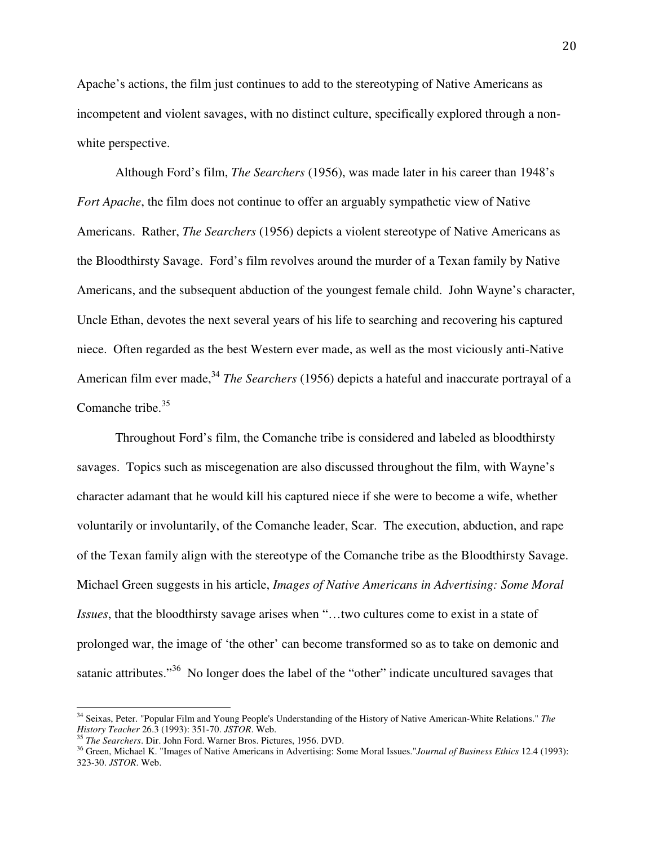Apache's actions, the film just continues to add to the stereotyping of Native Americans as incompetent and violent savages, with no distinct culture, specifically explored through a nonwhite perspective.

Although Ford's film, *The Searchers* (1956), was made later in his career than 1948's *Fort Apache*, the film does not continue to offer an arguably sympathetic view of Native Americans. Rather, *The Searchers* (1956) depicts a violent stereotype of Native Americans as the Bloodthirsty Savage. Ford's film revolves around the murder of a Texan family by Native Americans, and the subsequent abduction of the youngest female child. John Wayne's character, Uncle Ethan, devotes the next several years of his life to searching and recovering his captured niece. Often regarded as the best Western ever made, as well as the most viciously anti-Native American film ever made,<sup>34</sup> *The Searchers* (1956) depicts a hateful and inaccurate portrayal of a Comanche tribe. $35$ 

Throughout Ford's film, the Comanche tribe is considered and labeled as bloodthirsty savages. Topics such as miscegenation are also discussed throughout the film, with Wayne's character adamant that he would kill his captured niece if she were to become a wife, whether voluntarily or involuntarily, of the Comanche leader, Scar. The execution, abduction, and rape of the Texan family align with the stereotype of the Comanche tribe as the Bloodthirsty Savage. Michael Green suggests in his article, *Images of Native Americans in Advertising: Some Moral Issues*, that the bloodthirsty savage arises when "…two cultures come to exist in a state of prolonged war, the image of 'the other' can become transformed so as to take on demonic and satanic attributes."<sup>36</sup> No longer does the label of the "other" indicate uncultured savages that

<sup>34</sup> Seixas, Peter. "Popular Film and Young People's Understanding of the History of Native American-White Relations." *The History Teacher* 26.3 (1993): 351-70. *JSTOR*. Web.

<sup>35</sup> *The Searchers*. Dir. John Ford. Warner Bros. Pictures, 1956. DVD.

<sup>36</sup> Green, Michael K. "Images of Native Americans in Advertising: Some Moral Issues."*Journal of Business Ethics* 12.4 (1993): 323-30. *JSTOR*. Web.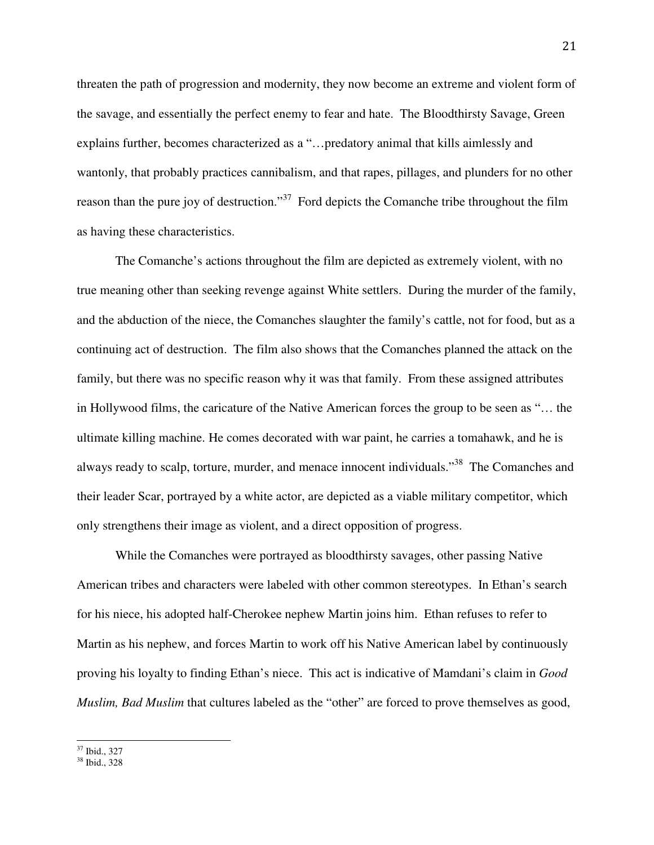threaten the path of progression and modernity, they now become an extreme and violent form of the savage, and essentially the perfect enemy to fear and hate. The Bloodthirsty Savage, Green explains further, becomes characterized as a "…predatory animal that kills aimlessly and wantonly, that probably practices cannibalism, and that rapes, pillages, and plunders for no other reason than the pure joy of destruction."<sup>37</sup> Ford depicts the Comanche tribe throughout the film as having these characteristics.

The Comanche's actions throughout the film are depicted as extremely violent, with no true meaning other than seeking revenge against White settlers. During the murder of the family, and the abduction of the niece, the Comanches slaughter the family's cattle, not for food, but as a continuing act of destruction. The film also shows that the Comanches planned the attack on the family, but there was no specific reason why it was that family. From these assigned attributes in Hollywood films, the caricature of the Native American forces the group to be seen as "… the ultimate killing machine. He comes decorated with war paint, he carries a tomahawk, and he is always ready to scalp, torture, murder, and menace innocent individuals."<sup>38</sup> The Comanches and their leader Scar, portrayed by a white actor, are depicted as a viable military competitor, which only strengthens their image as violent, and a direct opposition of progress.

While the Comanches were portrayed as bloodthirsty savages, other passing Native American tribes and characters were labeled with other common stereotypes. In Ethan's search for his niece, his adopted half-Cherokee nephew Martin joins him. Ethan refuses to refer to Martin as his nephew, and forces Martin to work off his Native American label by continuously proving his loyalty to finding Ethan's niece. This act is indicative of Mamdani's claim in *Good Muslim, Bad Muslim* that cultures labeled as the "other" are forced to prove themselves as good,

 $\overline{a}$ <sup>37</sup> Ibid., 327

<sup>38</sup> Ibid., 328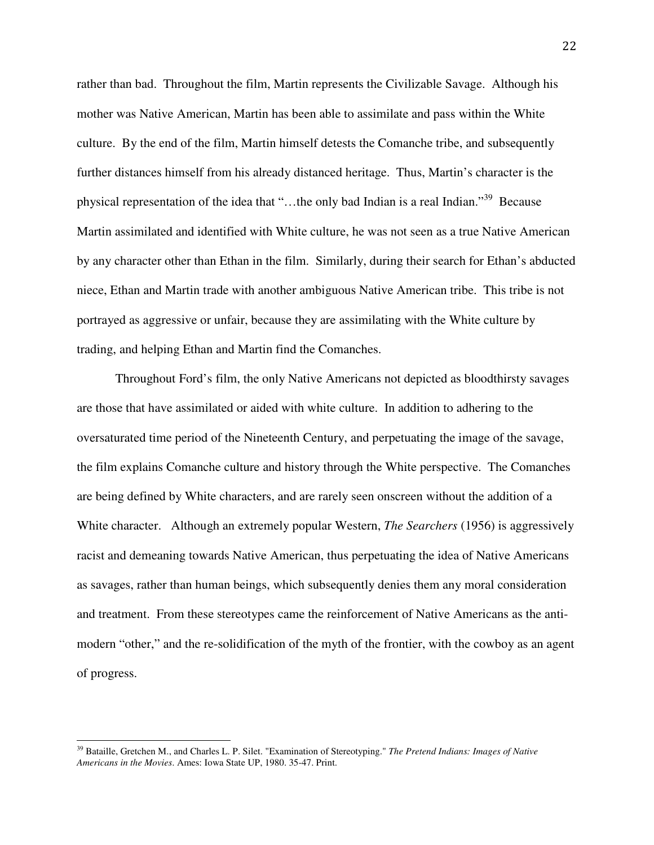rather than bad. Throughout the film, Martin represents the Civilizable Savage. Although his mother was Native American, Martin has been able to assimilate and pass within the White culture. By the end of the film, Martin himself detests the Comanche tribe, and subsequently further distances himself from his already distanced heritage. Thus, Martin's character is the physical representation of the idea that "…the only bad Indian is a real Indian."<sup>39</sup> Because Martin assimilated and identified with White culture, he was not seen as a true Native American by any character other than Ethan in the film. Similarly, during their search for Ethan's abducted niece, Ethan and Martin trade with another ambiguous Native American tribe. This tribe is not portrayed as aggressive or unfair, because they are assimilating with the White culture by trading, and helping Ethan and Martin find the Comanches.

Throughout Ford's film, the only Native Americans not depicted as bloodthirsty savages are those that have assimilated or aided with white culture. In addition to adhering to the oversaturated time period of the Nineteenth Century, and perpetuating the image of the savage, the film explains Comanche culture and history through the White perspective. The Comanches are being defined by White characters, and are rarely seen onscreen without the addition of a White character. Although an extremely popular Western, *The Searchers* (1956) is aggressively racist and demeaning towards Native American, thus perpetuating the idea of Native Americans as savages, rather than human beings, which subsequently denies them any moral consideration and treatment. From these stereotypes came the reinforcement of Native Americans as the antimodern "other," and the re-solidification of the myth of the frontier, with the cowboy as an agent of progress.

<sup>39</sup> Bataille, Gretchen M., and Charles L. P. Silet. "Examination of Stereotyping." *The Pretend Indians: Images of Native Americans in the Movies*. Ames: Iowa State UP, 1980. 35-47. Print.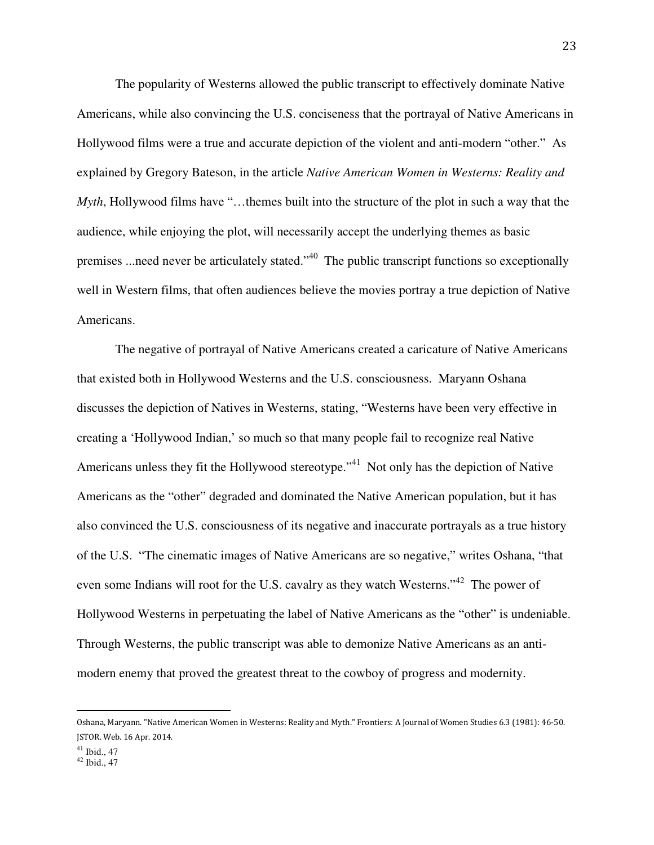The popularity of Westerns allowed the public transcript to effectively dominate Native Americans, while also convincing the U.S. conciseness that the portrayal of Native Americans in Hollywood films were a true and accurate depiction of the violent and anti-modern "other." As explained by Gregory Bateson, in the article *Native American Women in Westerns: Reality and Myth*, Hollywood films have "…themes built into the structure of the plot in such a way that the audience, while enjoying the plot, will necessarily accept the underlying themes as basic premises ...need never be articulately stated."<sup>40</sup> The public transcript functions so exceptionally well in Western films, that often audiences believe the movies portray a true depiction of Native Americans.

The negative of portrayal of Native Americans created a caricature of Native Americans that existed both in Hollywood Westerns and the U.S. consciousness. Maryann Oshana discusses the depiction of Natives in Westerns, stating, "Westerns have been very effective in creating a 'Hollywood Indian,' so much so that many people fail to recognize real Native Americans unless they fit the Hollywood stereotype."<sup>41</sup> Not only has the depiction of Native Americans as the "other" degraded and dominated the Native American population, but it has also convinced the U.S. consciousness of its negative and inaccurate portrayals as a true history of the U.S. "The cinematic images of Native Americans are so negative," writes Oshana, "that even some Indians will root for the U.S. cavalry as they watch Westerns."<sup>42</sup> The power of Hollywood Westerns in perpetuating the label of Native Americans as the "other" is undeniable. Through Westerns, the public transcript was able to demonize Native Americans as an antimodern enemy that proved the greatest threat to the cowboy of progress and modernity.

Oshana, Maryann. "Native American Women in Westerns: Reality and Myth." Frontiers: A Journal of Women Studies 6.3 (1981): 46-50. JSTOR. Web. 16 Apr. 2014.

 $41$  Ibid., 47

 $42$  Ibid.,  $47$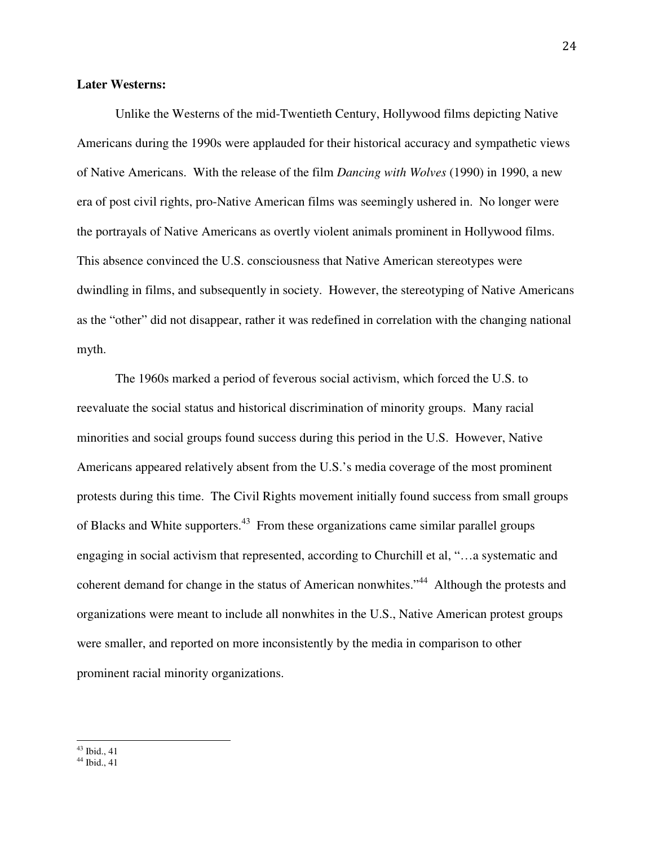#### **Later Westerns:**

Unlike the Westerns of the mid-Twentieth Century, Hollywood films depicting Native Americans during the 1990s were applauded for their historical accuracy and sympathetic views of Native Americans. With the release of the film *Dancing with Wolves* (1990) in 1990, a new era of post civil rights, pro-Native American films was seemingly ushered in. No longer were the portrayals of Native Americans as overtly violent animals prominent in Hollywood films. This absence convinced the U.S. consciousness that Native American stereotypes were dwindling in films, and subsequently in society. However, the stereotyping of Native Americans as the "other" did not disappear, rather it was redefined in correlation with the changing national myth.

 The 1960s marked a period of feverous social activism, which forced the U.S. to reevaluate the social status and historical discrimination of minority groups. Many racial minorities and social groups found success during this period in the U.S. However, Native Americans appeared relatively absent from the U.S.'s media coverage of the most prominent protests during this time. The Civil Rights movement initially found success from small groups of Blacks and White supporters.<sup>43</sup> From these organizations came similar parallel groups engaging in social activism that represented, according to Churchill et al, "…a systematic and coherent demand for change in the status of American nonwhites."<sup>44</sup> Although the protests and organizations were meant to include all nonwhites in the U.S., Native American protest groups were smaller, and reported on more inconsistently by the media in comparison to other prominent racial minority organizations.

 $\overline{a}$  $43$  Ibid., 41

 $44$  Ibid., 41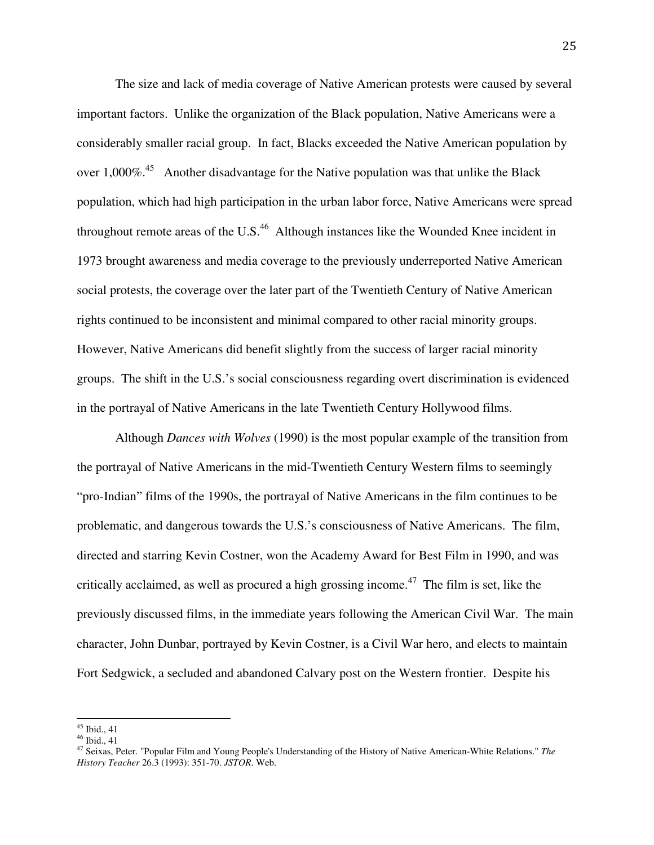The size and lack of media coverage of Native American protests were caused by several important factors. Unlike the organization of the Black population, Native Americans were a considerably smaller racial group. In fact, Blacks exceeded the Native American population by over 1,000%.<sup>45</sup> Another disadvantage for the Native population was that unlike the Black population, which had high participation in the urban labor force, Native Americans were spread throughout remote areas of the U.S. $^{46}$  Although instances like the Wounded Knee incident in 1973 brought awareness and media coverage to the previously underreported Native American social protests, the coverage over the later part of the Twentieth Century of Native American rights continued to be inconsistent and minimal compared to other racial minority groups. However, Native Americans did benefit slightly from the success of larger racial minority groups. The shift in the U.S.'s social consciousness regarding overt discrimination is evidenced in the portrayal of Native Americans in the late Twentieth Century Hollywood films.

 Although *Dances with Wolves* (1990) is the most popular example of the transition from the portrayal of Native Americans in the mid-Twentieth Century Western films to seemingly "pro-Indian" films of the 1990s, the portrayal of Native Americans in the film continues to be problematic, and dangerous towards the U.S.'s consciousness of Native Americans. The film, directed and starring Kevin Costner, won the Academy Award for Best Film in 1990, and was critically acclaimed, as well as procured a high grossing income.<sup>47</sup> The film is set, like the previously discussed films, in the immediate years following the American Civil War. The main character, John Dunbar, portrayed by Kevin Costner, is a Civil War hero, and elects to maintain Fort Sedgwick, a secluded and abandoned Calvary post on the Western frontier. Despite his

<sup>-</sup><sup>45</sup> Ibid., 41

<sup>46</sup> Ibid., 41

<sup>47</sup> Seixas, Peter. "Popular Film and Young People's Understanding of the History of Native American-White Relations." *The History Teacher* 26.3 (1993): 351-70. *JSTOR*. Web.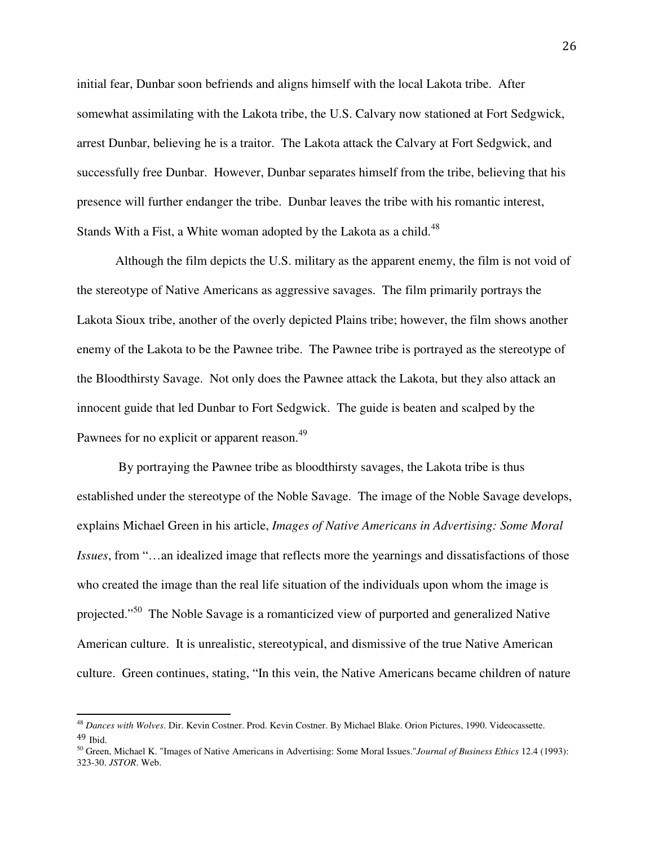initial fear, Dunbar soon befriends and aligns himself with the local Lakota tribe. After somewhat assimilating with the Lakota tribe, the U.S. Calvary now stationed at Fort Sedgwick, arrest Dunbar, believing he is a traitor. The Lakota attack the Calvary at Fort Sedgwick, and successfully free Dunbar. However, Dunbar separates himself from the tribe, believing that his presence will further endanger the tribe. Dunbar leaves the tribe with his romantic interest, Stands With a Fist, a White woman adopted by the Lakota as a child. $48$ 

 Although the film depicts the U.S. military as the apparent enemy, the film is not void of the stereotype of Native Americans as aggressive savages. The film primarily portrays the Lakota Sioux tribe, another of the overly depicted Plains tribe; however, the film shows another enemy of the Lakota to be the Pawnee tribe. The Pawnee tribe is portrayed as the stereotype of the Bloodthirsty Savage. Not only does the Pawnee attack the Lakota, but they also attack an innocent guide that led Dunbar to Fort Sedgwick. The guide is beaten and scalped by the Pawnees for no explicit or apparent reason.<sup>49</sup>

 By portraying the Pawnee tribe as bloodthirsty savages, the Lakota tribe is thus established under the stereotype of the Noble Savage. The image of the Noble Savage develops, explains Michael Green in his article, *Images of Native Americans in Advertising: Some Moral Issues*, from "…an idealized image that reflects more the yearnings and dissatisfactions of those who created the image than the real life situation of the individuals upon whom the image is projected."<sup>50</sup> The Noble Savage is a romanticized view of purported and generalized Native American culture. It is unrealistic, stereotypical, and dismissive of the true Native American culture. Green continues, stating, "In this vein, the Native Americans became children of nature

-

<sup>48</sup> *Dances with Wolves*. Dir. Kevin Costner. Prod. Kevin Costner. By Michael Blake. Orion Pictures, 1990. Videocassette. 49 Ibid.

<sup>50</sup> Green, Michael K. "Images of Native Americans in Advertising: Some Moral Issues."*Journal of Business Ethics* 12.4 (1993): 323-30. *JSTOR*. Web.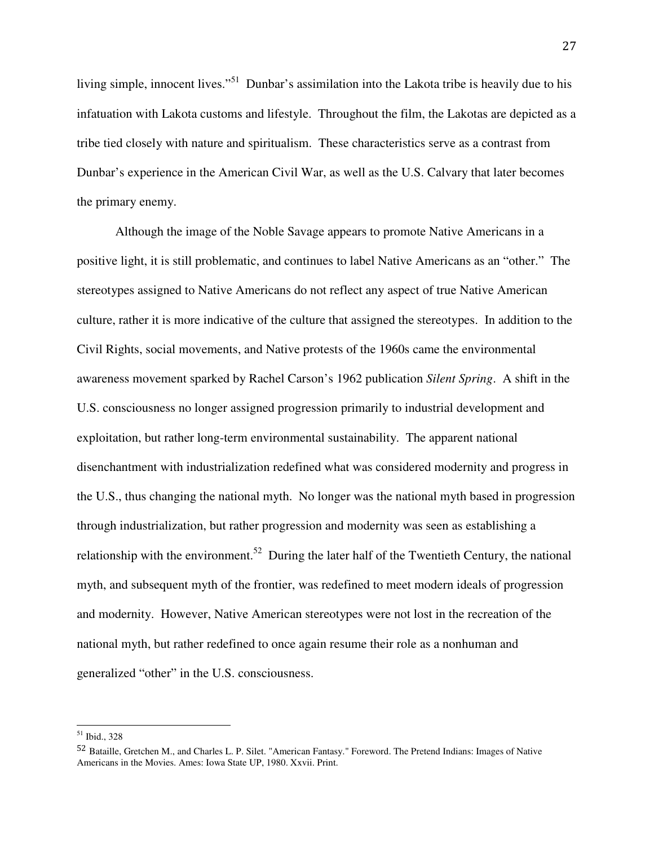living simple, innocent lives."<sup>51</sup> Dunbar's assimilation into the Lakota tribe is heavily due to his infatuation with Lakota customs and lifestyle. Throughout the film, the Lakotas are depicted as a tribe tied closely with nature and spiritualism. These characteristics serve as a contrast from Dunbar's experience in the American Civil War, as well as the U.S. Calvary that later becomes the primary enemy.

 Although the image of the Noble Savage appears to promote Native Americans in a positive light, it is still problematic, and continues to label Native Americans as an "other." The stereotypes assigned to Native Americans do not reflect any aspect of true Native American culture, rather it is more indicative of the culture that assigned the stereotypes. In addition to the Civil Rights, social movements, and Native protests of the 1960s came the environmental awareness movement sparked by Rachel Carson's 1962 publication *Silent Spring*. A shift in the U.S. consciousness no longer assigned progression primarily to industrial development and exploitation, but rather long-term environmental sustainability. The apparent national disenchantment with industrialization redefined what was considered modernity and progress in the U.S., thus changing the national myth. No longer was the national myth based in progression through industrialization, but rather progression and modernity was seen as establishing a relationship with the environment.<sup>52</sup> During the later half of the Twentieth Century, the national myth, and subsequent myth of the frontier, was redefined to meet modern ideals of progression and modernity. However, Native American stereotypes were not lost in the recreation of the national myth, but rather redefined to once again resume their role as a nonhuman and generalized "other" in the U.S. consciousness.

<sup>&</sup>lt;u>.</u> <sup>51</sup> Ibid., 328

<sup>52</sup> Bataille, Gretchen M., and Charles L. P. Silet. "American Fantasy." Foreword. The Pretend Indians: Images of Native Americans in the Movies. Ames: Iowa State UP, 1980. Xxvii. Print.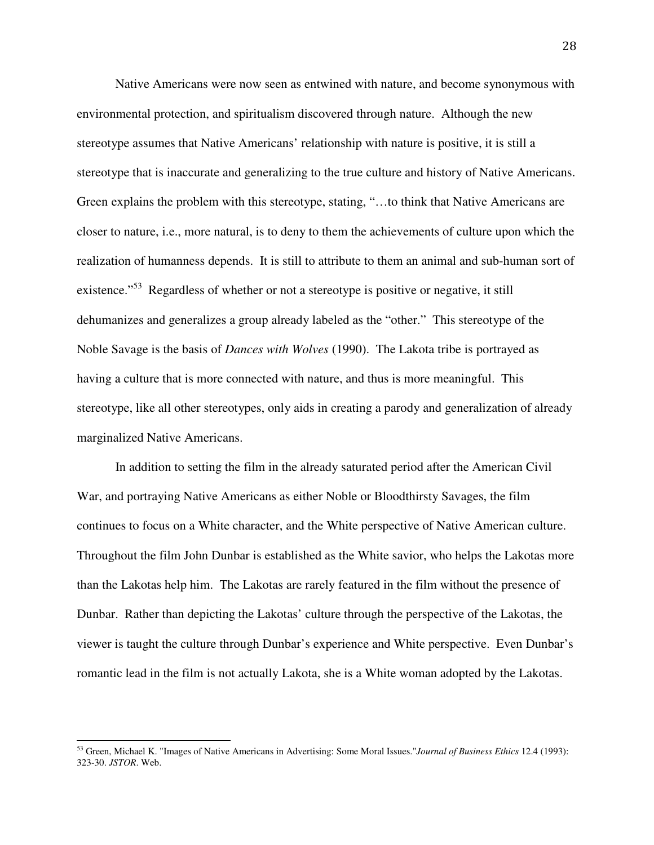Native Americans were now seen as entwined with nature, and become synonymous with environmental protection, and spiritualism discovered through nature. Although the new stereotype assumes that Native Americans' relationship with nature is positive, it is still a stereotype that is inaccurate and generalizing to the true culture and history of Native Americans. Green explains the problem with this stereotype, stating, "…to think that Native Americans are closer to nature, i.e., more natural, is to deny to them the achievements of culture upon which the realization of humanness depends. It is still to attribute to them an animal and sub-human sort of existence."<sup>53</sup> Regardless of whether or not a stereotype is positive or negative, it still dehumanizes and generalizes a group already labeled as the "other." This stereotype of the Noble Savage is the basis of *Dances with Wolves* (1990). The Lakota tribe is portrayed as having a culture that is more connected with nature, and thus is more meaningful. This stereotype, like all other stereotypes, only aids in creating a parody and generalization of already marginalized Native Americans.

 In addition to setting the film in the already saturated period after the American Civil War, and portraying Native Americans as either Noble or Bloodthirsty Savages, the film continues to focus on a White character, and the White perspective of Native American culture. Throughout the film John Dunbar is established as the White savior, who helps the Lakotas more than the Lakotas help him. The Lakotas are rarely featured in the film without the presence of Dunbar. Rather than depicting the Lakotas' culture through the perspective of the Lakotas, the viewer is taught the culture through Dunbar's experience and White perspective. Even Dunbar's romantic lead in the film is not actually Lakota, she is a White woman adopted by the Lakotas.

<sup>53</sup> Green, Michael K. "Images of Native Americans in Advertising: Some Moral Issues."*Journal of Business Ethics* 12.4 (1993): 323-30. *JSTOR*. Web.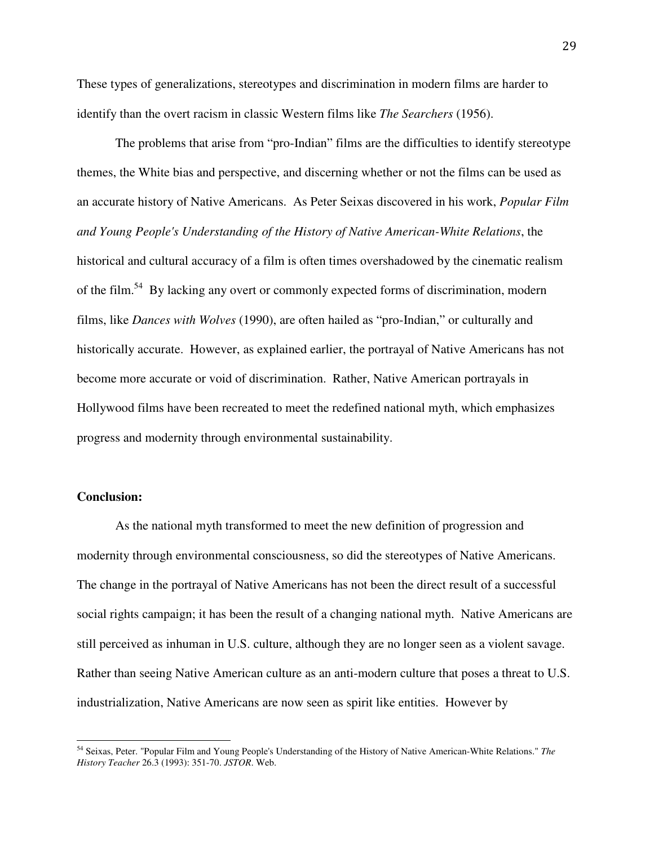These types of generalizations, stereotypes and discrimination in modern films are harder to identify than the overt racism in classic Western films like *The Searchers* (1956).

 The problems that arise from "pro-Indian" films are the difficulties to identify stereotype themes, the White bias and perspective, and discerning whether or not the films can be used as an accurate history of Native Americans. As Peter Seixas discovered in his work, *Popular Film and Young People's Understanding of the History of Native American-White Relations*, the historical and cultural accuracy of a film is often times overshadowed by the cinematic realism of the film.<sup>54</sup> By lacking any overt or commonly expected forms of discrimination, modern films, like *Dances with Wolves* (1990), are often hailed as "pro-Indian," or culturally and historically accurate. However, as explained earlier, the portrayal of Native Americans has not become more accurate or void of discrimination. Rather, Native American portrayals in Hollywood films have been recreated to meet the redefined national myth, which emphasizes progress and modernity through environmental sustainability.

#### **Conclusion:**

-

As the national myth transformed to meet the new definition of progression and modernity through environmental consciousness, so did the stereotypes of Native Americans. The change in the portrayal of Native Americans has not been the direct result of a successful social rights campaign; it has been the result of a changing national myth. Native Americans are still perceived as inhuman in U.S. culture, although they are no longer seen as a violent savage. Rather than seeing Native American culture as an anti-modern culture that poses a threat to U.S. industrialization, Native Americans are now seen as spirit like entities. However by

<sup>54</sup> Seixas, Peter. "Popular Film and Young People's Understanding of the History of Native American-White Relations." *The History Teacher* 26.3 (1993): 351-70. *JSTOR*. Web.